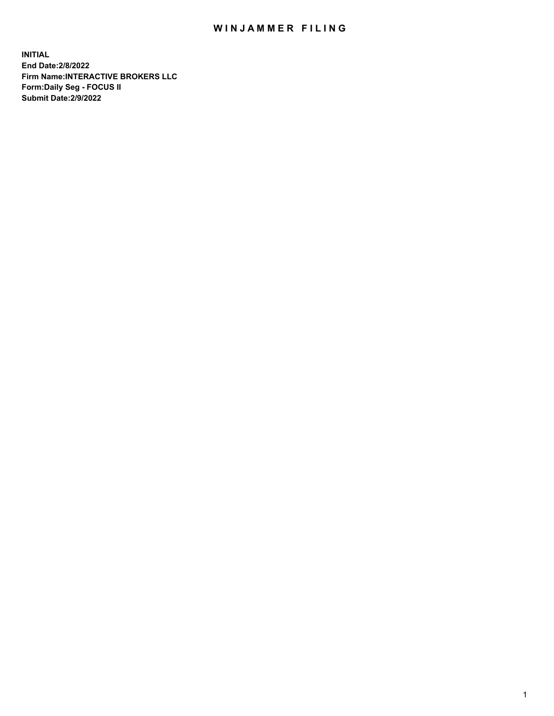## WIN JAMMER FILING

**INITIAL End Date:2/8/2022 Firm Name:INTERACTIVE BROKERS LLC Form:Daily Seg - FOCUS II Submit Date:2/9/2022**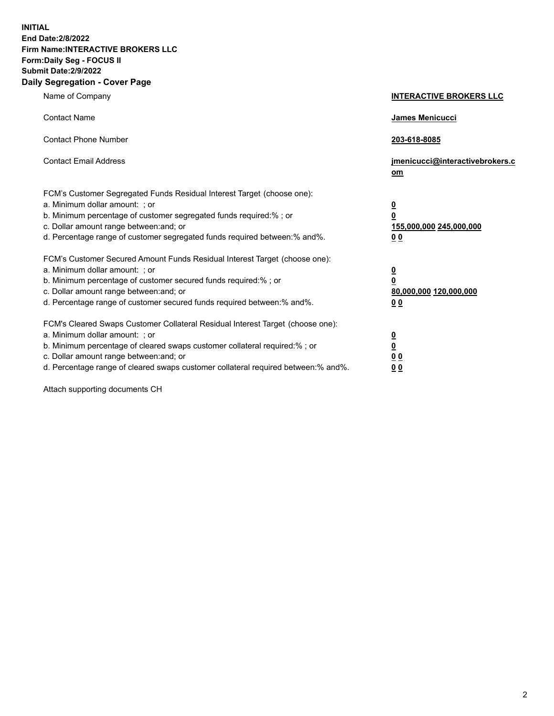**INITIAL End Date:2/8/2022 Firm Name:INTERACTIVE BROKERS LLC Form:Daily Seg - FOCUS II Submit Date:2/9/2022 Daily Segregation - Cover Page**

| Name of Company                                                                                                                                                                                                                                                                                                                | <b>INTERACTIVE BROKERS LLC</b>                                                             |
|--------------------------------------------------------------------------------------------------------------------------------------------------------------------------------------------------------------------------------------------------------------------------------------------------------------------------------|--------------------------------------------------------------------------------------------|
| <b>Contact Name</b>                                                                                                                                                                                                                                                                                                            | James Menicucci                                                                            |
| <b>Contact Phone Number</b>                                                                                                                                                                                                                                                                                                    | 203-618-8085                                                                               |
| <b>Contact Email Address</b>                                                                                                                                                                                                                                                                                                   | jmenicucci@interactivebrokers.c<br>om                                                      |
| FCM's Customer Segregated Funds Residual Interest Target (choose one):<br>a. Minimum dollar amount: : or<br>b. Minimum percentage of customer segregated funds required:% ; or<br>c. Dollar amount range between: and; or<br>d. Percentage range of customer segregated funds required between:% and%.                         | $\overline{\mathbf{0}}$<br>$\overline{\mathbf{0}}$<br>155,000,000 245,000,000<br><u>00</u> |
| FCM's Customer Secured Amount Funds Residual Interest Target (choose one):<br>a. Minimum dollar amount: ; or<br>b. Minimum percentage of customer secured funds required:% ; or<br>c. Dollar amount range between: and; or<br>d. Percentage range of customer secured funds required between:% and%.                           | $\frac{0}{0}$<br>80,000,000 120,000,000<br>00                                              |
| FCM's Cleared Swaps Customer Collateral Residual Interest Target (choose one):<br>a. Minimum dollar amount: ; or<br>b. Minimum percentage of cleared swaps customer collateral required:% ; or<br>c. Dollar amount range between: and; or<br>d. Percentage range of cleared swaps customer collateral required between:% and%. | $\frac{0}{0}$<br>$\underline{0}$ $\underline{0}$<br>0 <sub>0</sub>                         |

Attach supporting documents CH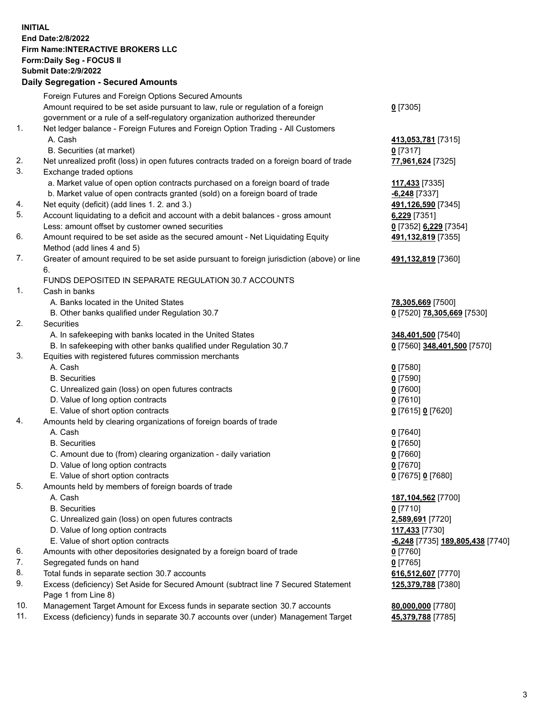**INITIAL End Date:2/8/2022 Firm Name:INTERACTIVE BROKERS LLC Form:Daily Seg - FOCUS II Submit Date:2/9/2022 Daily Segregation - Secured Amounts**

|                | Dany Ocgregation - Occurea Anioants                                                                                                  |                                  |
|----------------|--------------------------------------------------------------------------------------------------------------------------------------|----------------------------------|
|                | Foreign Futures and Foreign Options Secured Amounts                                                                                  |                                  |
|                | Amount required to be set aside pursuant to law, rule or regulation of a foreign                                                     | $0$ [7305]                       |
|                | government or a rule of a self-regulatory organization authorized thereunder                                                         |                                  |
| 1.             | Net ledger balance - Foreign Futures and Foreign Option Trading - All Customers                                                      |                                  |
|                | A. Cash                                                                                                                              | 413,053,781 [7315]               |
|                | B. Securities (at market)                                                                                                            | $0$ [7317]                       |
| 2.             | Net unrealized profit (loss) in open futures contracts traded on a foreign board of trade                                            | 77,961,624 [7325]                |
| 3.             | Exchange traded options                                                                                                              |                                  |
|                | a. Market value of open option contracts purchased on a foreign board of trade                                                       | 117,433 [7335]                   |
|                | b. Market value of open contracts granted (sold) on a foreign board of trade                                                         | $-6,248$ [7337]                  |
| 4.             | Net equity (deficit) (add lines 1. 2. and 3.)                                                                                        | 491,126,590 [7345]               |
| 5.             | Account liquidating to a deficit and account with a debit balances - gross amount                                                    | 6,229 [7351]                     |
|                | Less: amount offset by customer owned securities                                                                                     | 0 [7352] 6,229 [7354]            |
| 6.             | Amount required to be set aside as the secured amount - Net Liquidating Equity                                                       | 491,132,819 [7355]               |
|                | Method (add lines 4 and 5)                                                                                                           |                                  |
| 7.             | Greater of amount required to be set aside pursuant to foreign jurisdiction (above) or line                                          | 491,132,819 [7360]               |
|                | 6.                                                                                                                                   |                                  |
|                | FUNDS DEPOSITED IN SEPARATE REGULATION 30.7 ACCOUNTS                                                                                 |                                  |
| $\mathbf{1}$ . | Cash in banks                                                                                                                        |                                  |
|                | A. Banks located in the United States                                                                                                | 78,305,669 [7500]                |
|                | B. Other banks qualified under Regulation 30.7                                                                                       | 0 [7520] 78,305,669 [7530]       |
| 2.             | Securities                                                                                                                           |                                  |
|                | A. In safekeeping with banks located in the United States                                                                            | 348,401,500 [7540]               |
|                | B. In safekeeping with other banks qualified under Regulation 30.7                                                                   | 0 [7560] 348,401,500 [7570]      |
| 3.             | Equities with registered futures commission merchants                                                                                |                                  |
|                | A. Cash                                                                                                                              | $0$ [7580]                       |
|                | <b>B.</b> Securities                                                                                                                 | $0$ [7590]                       |
|                | C. Unrealized gain (loss) on open futures contracts                                                                                  | $0$ [7600]                       |
|                | D. Value of long option contracts                                                                                                    | $0$ [7610]                       |
|                | E. Value of short option contracts                                                                                                   | 0 [7615] 0 [7620]                |
| 4.             | Amounts held by clearing organizations of foreign boards of trade                                                                    |                                  |
|                | A. Cash                                                                                                                              | $0$ [7640]                       |
|                | <b>B.</b> Securities                                                                                                                 | $0$ [7650]                       |
|                | C. Amount due to (from) clearing organization - daily variation                                                                      | $0$ [7660]                       |
|                | D. Value of long option contracts                                                                                                    | $0$ [7670]                       |
|                | E. Value of short option contracts                                                                                                   | 0 [7675] 0 [7680]                |
| 5.             | Amounts held by members of foreign boards of trade                                                                                   |                                  |
|                | A. Cash                                                                                                                              | 187,104,562 [7700]               |
|                | <b>B.</b> Securities                                                                                                                 | $0$ [7710]                       |
|                | C. Unrealized gain (loss) on open futures contracts                                                                                  | 2,589,691 [7720]                 |
|                | D. Value of long option contracts                                                                                                    | 117,433 [7730]                   |
|                | E. Value of short option contracts<br>Amounts with other depositories designated by a foreign board of trade                         | -6,248 [7735] 189,805,438 [7740] |
| 6.<br>7.       |                                                                                                                                      | 0 [7760]                         |
| 8.             | Segregated funds on hand                                                                                                             | $0$ [7765]                       |
| 9.             | Total funds in separate section 30.7 accounts<br>Excess (deficiency) Set Aside for Secured Amount (subtract line 7 Secured Statement | 616,512,607 [7770]               |
|                | Page 1 from Line 8)                                                                                                                  | 125,379,788 [7380]               |
| 10.            | Management Target Amount for Excess funds in separate section 30.7 accounts                                                          | 80,000,000 [7780]                |
| 11.            | Excess (deficiency) funds in separate 30.7 accounts over (under) Management Target                                                   | 45,379,788 [7785]                |
|                |                                                                                                                                      |                                  |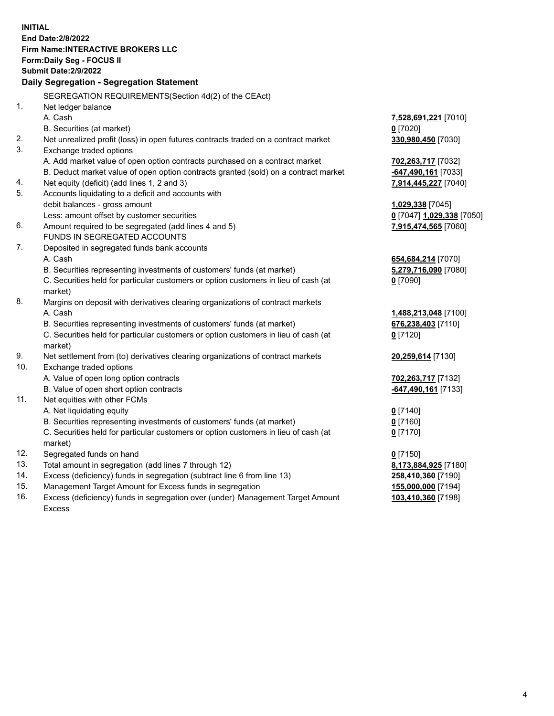**INITIAL End Date:2/8/2022 Firm Name:INTERACTIVE BROKERS LLC Form:Daily Seg - FOCUS II Submit Date:2/9/2022 Daily Segregation - Segregation Statement** SEGREGATION REQUIREMENTS(Section 4d(2) of the CEAct) 1. Net ledger balance A. Cash **7,528,691,221** [7010] B. Securities (at market) **0** [7020] 2. Net unrealized profit (loss) in open futures contracts traded on a contract market **330,980,450** [7030] 3. Exchange traded options A. Add market value of open option contracts purchased on a contract market **702,263,717** [7032] B. Deduct market value of open option contracts granted (sold) on a contract market **-647,490,161** [7033] 4. Net equity (deficit) (add lines 1, 2 and 3) **7,914,445,227** [7040] 5. Accounts liquidating to a deficit and accounts with debit balances - gross amount **1,029,338** [7045] Less: amount offset by customer securities **0** [7047] **1,029,338** [7050] 6. Amount required to be segregated (add lines 4 and 5) **7,915,474,565** [7060] FUNDS IN SEGREGATED ACCOUNTS 7. Deposited in segregated funds bank accounts A. Cash **654,684,214** [7070] B. Securities representing investments of customers' funds (at market) **5,279,716,090** [7080] C. Securities held for particular customers or option customers in lieu of cash (at market) **0** [7090] 8. Margins on deposit with derivatives clearing organizations of contract markets A. Cash **1,488,213,048** [7100] B. Securities representing investments of customers' funds (at market) **676,238,403** [7110] C. Securities held for particular customers or option customers in lieu of cash (at market) **0** [7120] 9. Net settlement from (to) derivatives clearing organizations of contract markets **20,259,614** [7130] 10. Exchange traded options A. Value of open long option contracts **702,263,717** [7132] B. Value of open short option contracts **-647,490,161** [7133] 11. Net equities with other FCMs A. Net liquidating equity **0** [7140] B. Securities representing investments of customers' funds (at market) **0** [7160] C. Securities held for particular customers or option customers in lieu of cash (at market) **0** [7170] 12. Segregated funds on hand **0** [7150] 13. Total amount in segregation (add lines 7 through 12) **8,173,884,925** [7180] 14. Excess (deficiency) funds in segregation (subtract line 6 from line 13) **258,410,360** [7190] 15. Management Target Amount for Excess funds in segregation **155,000,000** [7194] 16. Excess (deficiency) funds in segregation over (under) Management Target Amount Excess **103,410,360** [7198]